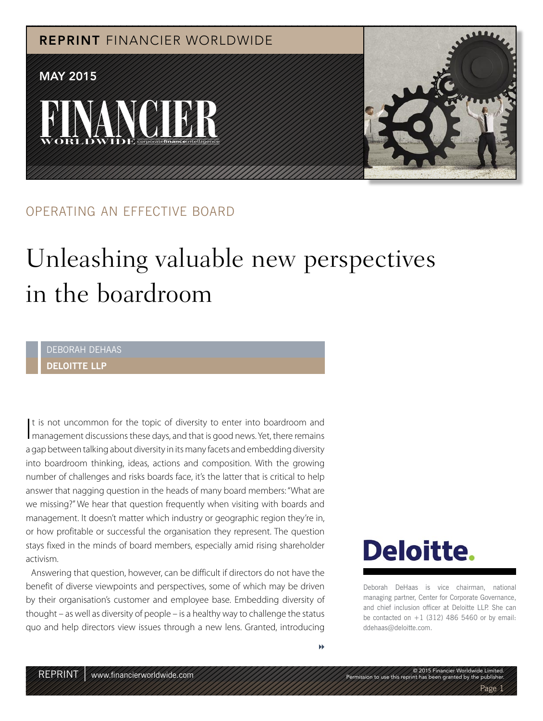

#### OPERATING AN EFFECTIVE BOARD

## Unleashing valuable new perspectives in the boardroom

#### DEBORAH DEHAAS **DELOITTE LLP**

It is not uncommon for the topic of diversity to enter into boardroom and management discussions these days, and that is good news. Yet, there remains t is not uncommon for the topic of diversity to enter into boardroom and a gap between talking about diversity in its many facets and embedding diversity into boardroom thinking, ideas, actions and composition. With the growing number of challenges and risks boards face, it's the latter that is critical to help answer that nagging question in the heads of many board members: "What are we missing?" We hear that question frequently when visiting with boards and management. It doesn't matter which industry or geographic region they're in, or how profitable or successful the organisation they represent. The question stays fixed in the minds of board members, especially amid rising shareholder activism.

Answering that question, however, can be difficult if directors do not have the benefit of diverse viewpoints and perspectives, some of which may be driven by their organisation's customer and employee base. Embedding diversity of thought – as well as diversity of people – is a healthy way to challenge the status quo and help directors view issues through a new lens. Granted, introducing

## **Deloitte.**

Deborah DeHaas is vice chairman, national managing partner, Center for Corporate Governance, and chief inclusion officer at Deloitte LLP. She can be contacted on  $+1$  (312) 486 5460 or by email: ddehaas@deloitte.com.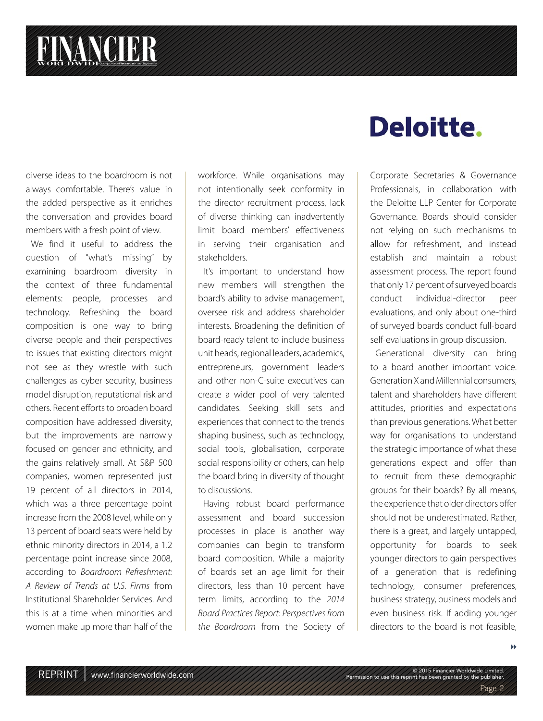# **FINANCIER**

diverse ideas to the boardroom is not always comfortable. There's value in the added perspective as it enriches the conversation and provides board members with a fresh point of view.

We find it useful to address the question of "what's missing" by examining boardroom diversity in the context of three fundamental elements: people, processes and technology. Refreshing the board composition is one way to bring diverse people and their perspectives to issues that existing directors might not see as they wrestle with such challenges as cyber security, business model disruption, reputational risk and others. Recent efforts to broaden board composition have addressed diversity, but the improvements are narrowly focused on gender and ethnicity, and the gains relatively small. At S&P 500 companies, women represented just 19 percent of all directors in 2014, which was a three percentage point increase from the 2008 level, while only 13 percent of board seats were held by ethnic minority directors in 2014, a 1.2 percentage point increase since 2008, according to Boardroom Refreshment: A Review of Trends at U.S. Firms from Institutional Shareholder Services. And this is at a time when minorities and women make up more than half of the workforce. While organisations may not intentionally seek conformity in the director recruitment process, lack of diverse thinking can inadvertently limit board members' effectiveness in serving their organisation and stakeholders.

It's important to understand how new members will strengthen the board's ability to advise management, oversee risk and address shareholder interests. Broadening the definition of board-ready talent to include business unit heads, regional leaders, academics, entrepreneurs, government leaders and other non-C-suite executives can create a wider pool of very talented candidates. Seeking skill sets and experiences that connect to the trends shaping business, such as technology, social tools, globalisation, corporate social responsibility or others, can help the board bring in diversity of thought to discussions.

Having robust board performance assessment and board succession processes in place is another way companies can begin to transform board composition. While a majority of boards set an age limit for their directors, less than 10 percent have term limits, according to the 2014 Board Practices Report: Perspectives from the Boardroom from the Society of

### Deloitte.

Corporate Secretaries & Governance Professionals, in collaboration with the Deloitte LLP Center for Corporate Governance. Boards should consider not relying on such mechanisms to allow for refreshment, and instead establish and maintain a robust assessment process. The report found that only 17 percent of surveyed boards conduct individual-director peer evaluations, and only about one-third of surveyed boards conduct full-board self-evaluations in group discussion.

Generational diversity can bring to a board another important voice. Generation X and Millennial consumers, talent and shareholders have different attitudes, priorities and expectations than previous generations. What better way for organisations to understand the strategic importance of what these generations expect and offer than to recruit from these demographic groups for their boards? By all means, the experience that older directors offer should not be underestimated. Rather, there is a great, and largely untapped, opportunity for boards to seek younger directors to gain perspectives of a generation that is redefining technology, consumer preferences, business strategy, business models and even business risk. If adding younger directors to the board is not feasible,